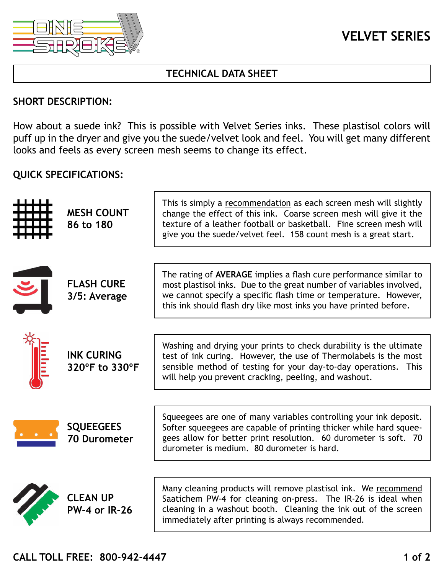

# **VELVET SERIES**

# **TECHNICAL DATA SHEET**

### **SHORT DESCRIPTION:**

How about a suede ink? This is possible with Velvet Series inks. These plastisol colors will puff up in the dryer and give you the suede/velvet look and feel. You will get many different looks and feels as every screen mesh seems to change its effect.

### **QUICK SPECIFICATIONS:**

| <b>MESH COUNT</b><br>86 to 180          | This is simply a recommendation as each screen mesh will slightly<br>change the effect of this ink. Coarse screen mesh will give it the<br>texture of a leather football or basketball. Fine screen mesh will<br>give you the suede/velvet feel. 158 count mesh is a great start. |  |  |
|-----------------------------------------|-----------------------------------------------------------------------------------------------------------------------------------------------------------------------------------------------------------------------------------------------------------------------------------|--|--|
| <b>FLASH CURE</b><br>3/5: Average       | The rating of AVERAGE implies a flash cure performance similar to<br>most plastisol inks. Due to the great number of variables involved,<br>we cannot specify a specific flash time or temperature. However,<br>this ink should flash dry like most inks you have printed before. |  |  |
| <b>INK CURING</b><br>320°F to 330°F     | Washing and drying your prints to check durability is the ultimate<br>test of ink curing. However, the use of Thermolabels is the most<br>sensible method of testing for your day-to-day operations.<br><b>This</b><br>will help you prevent cracking, peeling, and washout.      |  |  |
| <b>SQUEEGEES</b><br><b>70 Durometer</b> | Squeegees are one of many variables controlling your ink deposit.<br>Softer squeegees are capable of printing thicker while hard squee-<br>gees allow for better print resolution. 60 durometer is soft. 70<br>durometer is medium. 80 durometer is hard.                         |  |  |
| <b>CLEAN UP<br/>PW-4 or IR-26</b>       | Many cleaning products will remove plastisol ink. We recommend<br>Saatichem PW-4 for cleaning on-press. The IR-26 is ideal when<br>cleaning in a washout booth. Cleaning the ink out of the screen<br>immediately after printing is always recommended.                           |  |  |